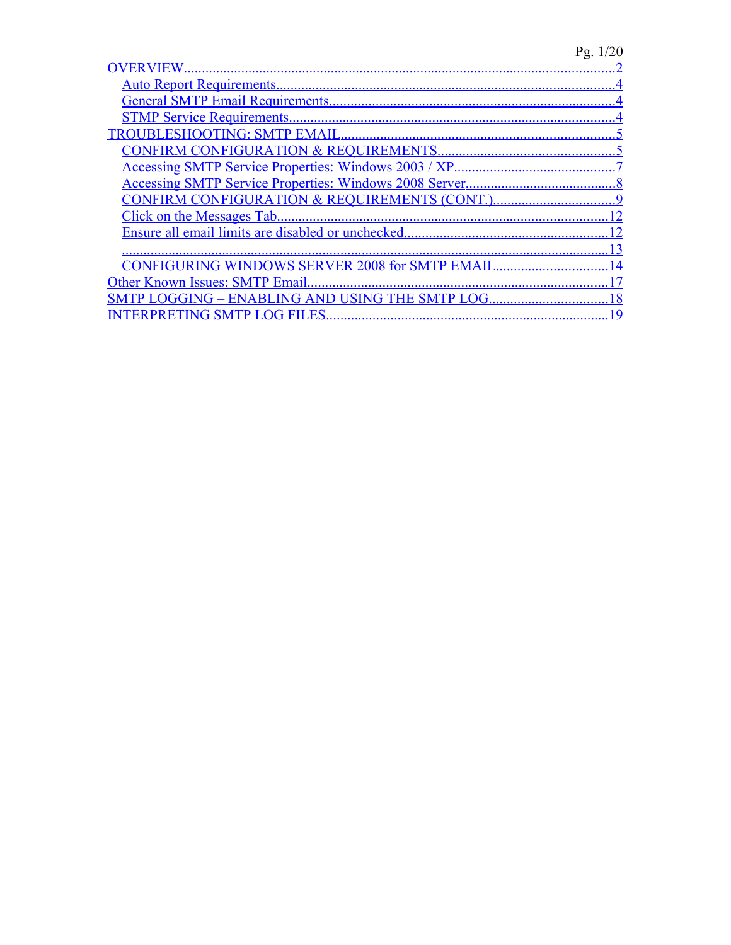# Pg. 1/20

| CONFIRM CONFIGURATION & REQUIREMENTS (CONT.)          |  |
|-------------------------------------------------------|--|
|                                                       |  |
|                                                       |  |
|                                                       |  |
| <b>CONFIGURING WINDOWS SERVER 2008 for SMTP EMAIL</b> |  |
| Other Known Issues: SMTP Email.                       |  |
| SMTP LOGGING - ENABLING AND USING THE SMTP LOG.       |  |
| ERPRETING SMTP LOG FILES                              |  |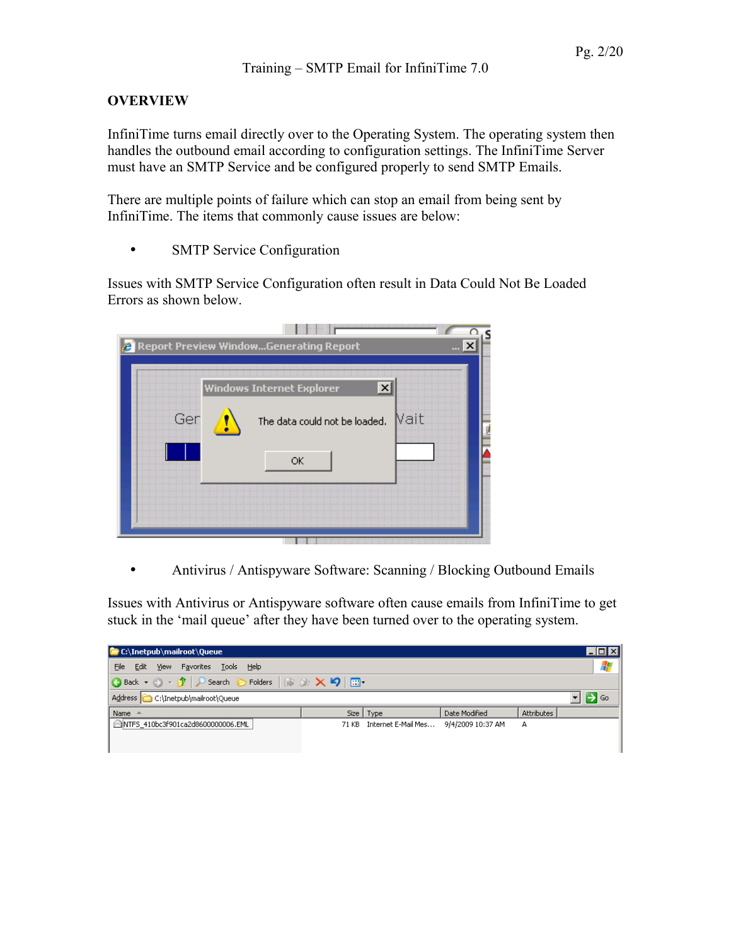## <span id="page-1-0"></span>**OVERVIEW**

InfiniTime turns email directly over to the Operating System. The operating system then handles the outbound email according to configuration settings. The InfiniTime Server must have an SMTP Service and be configured properly to send SMTP Emails.

There are multiple points of failure which can stop an email from being sent by InfiniTime. The items that commonly cause issues are below:

• SMTP Service Configuration

Issues with SMTP Service Configuration often result in Data Could Not Be Loaded Errors as shown below.

|     | <b>Report Preview WindowGenerating Report</b> |      |
|-----|-----------------------------------------------|------|
|     | <b>Windows Internet Explorer</b>              |      |
| Ger | The data could not be loaded.                 | Nait |
|     | $\alpha$                                      |      |
|     |                                               |      |

• Antivirus / Antispyware Software: Scanning / Blocking Outbound Emails

Issues with Antivirus or Antispyware software often cause emails from InfiniTime to get stuck in the 'mail queue' after they have been turned over to the operating system.

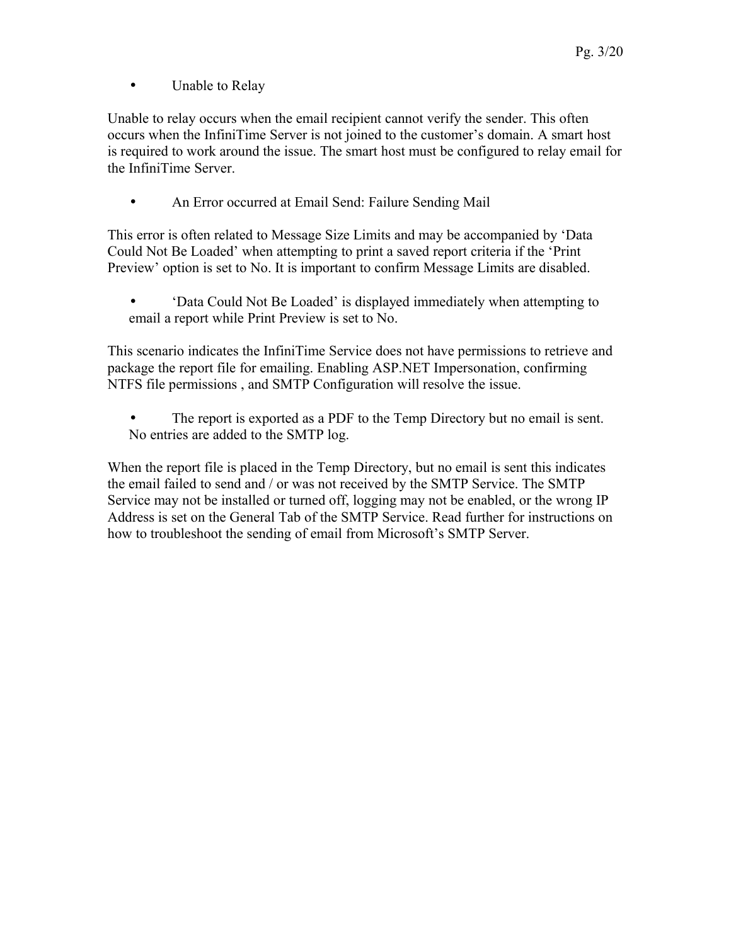• Unable to Relay

Unable to relay occurs when the email recipient cannot verify the sender. This often occurs when the InfiniTime Server is not joined to the customer's domain. A smart host is required to work around the issue. The smart host must be configured to relay email for the InfiniTime Server.

• An Error occurred at Email Send: Failure Sending Mail

This error is often related to Message Size Limits and may be accompanied by 'Data Could Not Be Loaded' when attempting to print a saved report criteria if the 'Print Preview' option is set to No. It is important to confirm Message Limits are disabled.

• 'Data Could Not Be Loaded' is displayed immediately when attempting to email a report while Print Preview is set to No.

This scenario indicates the InfiniTime Service does not have permissions to retrieve and package the report file for emailing. Enabling ASP.NET Impersonation, confirming NTFS file permissions , and SMTP Configuration will resolve the issue.

The report is exported as a PDF to the Temp Directory but no email is sent. No entries are added to the SMTP log.

When the report file is placed in the Temp Directory, but no email is sent this indicates the email failed to send and / or was not received by the SMTP Service. The SMTP Service may not be installed or turned off, logging may not be enabled, or the wrong IP Address is set on the General Tab of the SMTP Service. Read further for instructions on how to troubleshoot the sending of email from Microsoft's SMTP Server.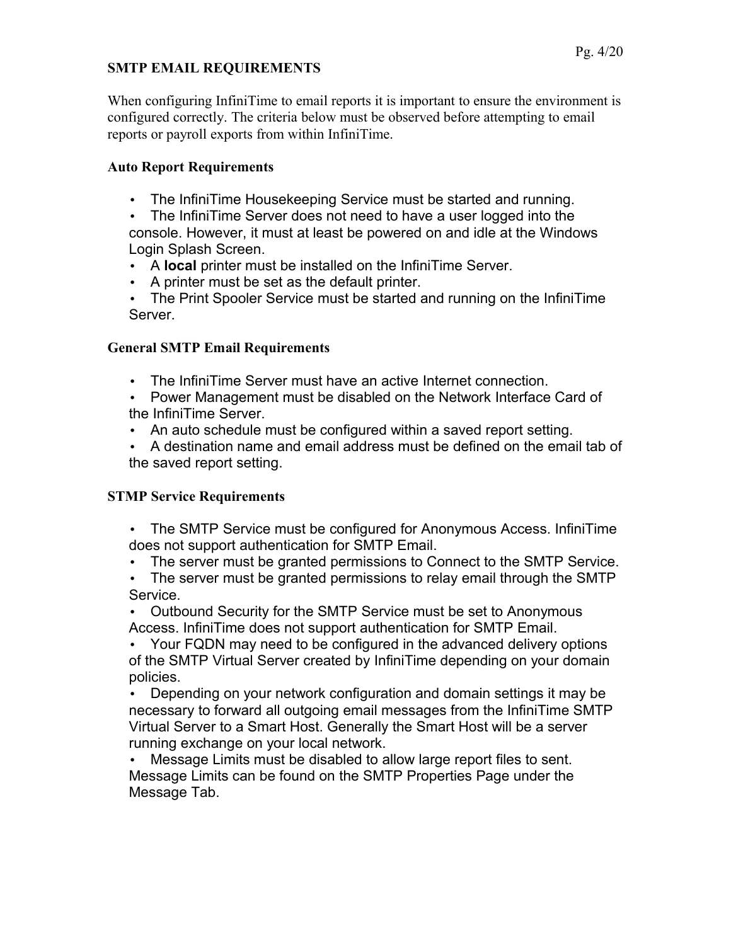## **SMTP EMAIL REQUIREMENTS**

When configuring InfiniTime to email reports it is important to ensure the environment is configured correctly. The criteria below must be observed before attempting to email reports or payroll exports from within InfiniTime.

## <span id="page-3-2"></span>**Auto Report Requirements**

- The InfiniTime Housekeeping Service must be started and running.
- The InfiniTime Server does not need to have a user logged into the console. However, it must at least be powered on and idle at the Windows Login Splash Screen.
- A **local** printer must be installed on the InfiniTime Server.
- A printer must be set as the default printer.
- The Print Spooler Service must be started and running on the InfiniTime Server.

## <span id="page-3-1"></span>**General SMTP Email Requirements**

- The InfiniTime Server must have an active Internet connection.
- Power Management must be disabled on the Network Interface Card of the InfiniTime Server.
- An auto schedule must be configured within a saved report setting.
- A destination name and email address must be defined on the email tab of the saved report setting.

## <span id="page-3-0"></span>**STMP Service Requirements**

- The SMTP Service must be configured for Anonymous Access. InfiniTime does not support authentication for SMTP Email.
- The server must be granted permissions to Connect to the SMTP Service.
- The server must be granted permissions to relay email through the SMTP Service.
- Outbound Security for the SMTP Service must be set to Anonymous Access. InfiniTime does not support authentication for SMTP Email.
- Your FQDN may need to be configured in the advanced delivery options of the SMTP Virtual Server created by InfiniTime depending on your domain policies.

• Depending on your network configuration and domain settings it may be necessary to forward all outgoing email messages from the InfiniTime SMTP Virtual Server to a Smart Host. Generally the Smart Host will be a server running exchange on your local network.

• Message Limits must be disabled to allow large report files to sent. Message Limits can be found on the SMTP Properties Page under the Message Tab.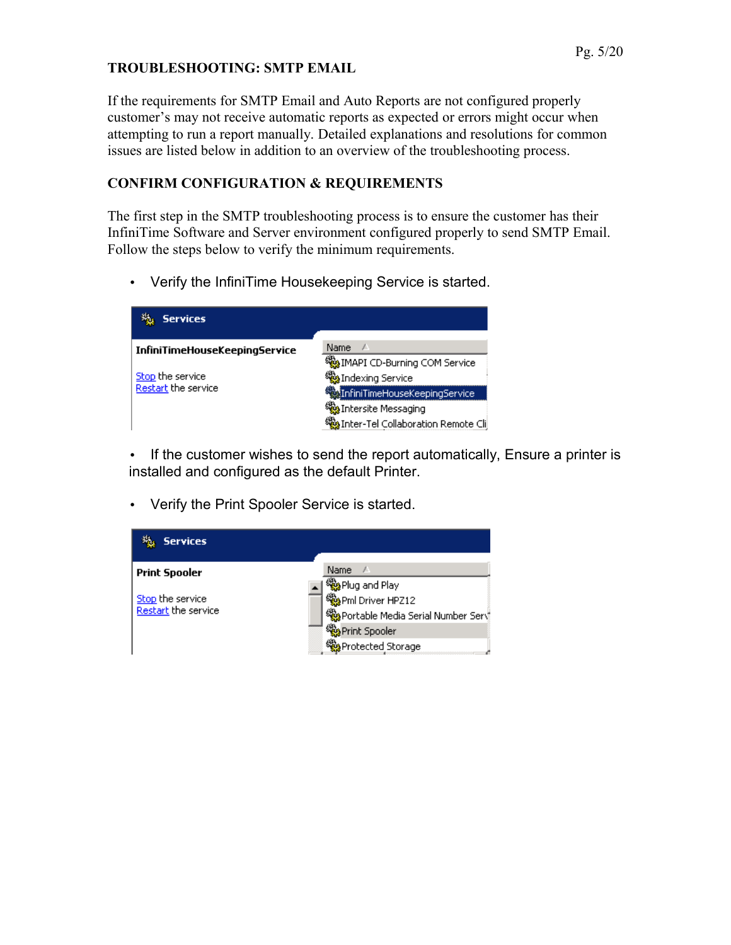### <span id="page-4-1"></span>**TROUBLESHOOTING: SMTP EMAIL**

If the requirements for SMTP Email and Auto Reports are not configured properly customer's may not receive automatic reports as expected or errors might occur when attempting to run a report manually. Detailed explanations and resolutions for common issues are listed below in addition to an overview of the troubleshooting process.

## <span id="page-4-0"></span>**CONFIRM CONFIGURATION & REQUIREMENTS**

The first step in the SMTP troubleshooting process is to ensure the customer has their InfiniTime Software and Server environment configured properly to send SMTP Email. Follow the steps below to verify the minimum requirements.

• Verify the InfiniTime Housekeeping Service is started.

| <b>Services</b>               |                                      |
|-------------------------------|--------------------------------------|
| InfiniTimeHouseKeepingService | Name<br>J.                           |
|                               | MAPI CD-Burning COM Service          |
| Stop the service              | <mark>幾</mark> Indexing Service      |
| Restart the service           | infiniTimeHouseKeepingService        |
|                               | Shersite Messaging                   |
|                               | MaInter-Tel Collaboration Remote Cli |

• If the customer wishes to send the report automatically, Ensure a printer is installed and configured as the default Printer.

• Verify the Print Spooler Service is started.

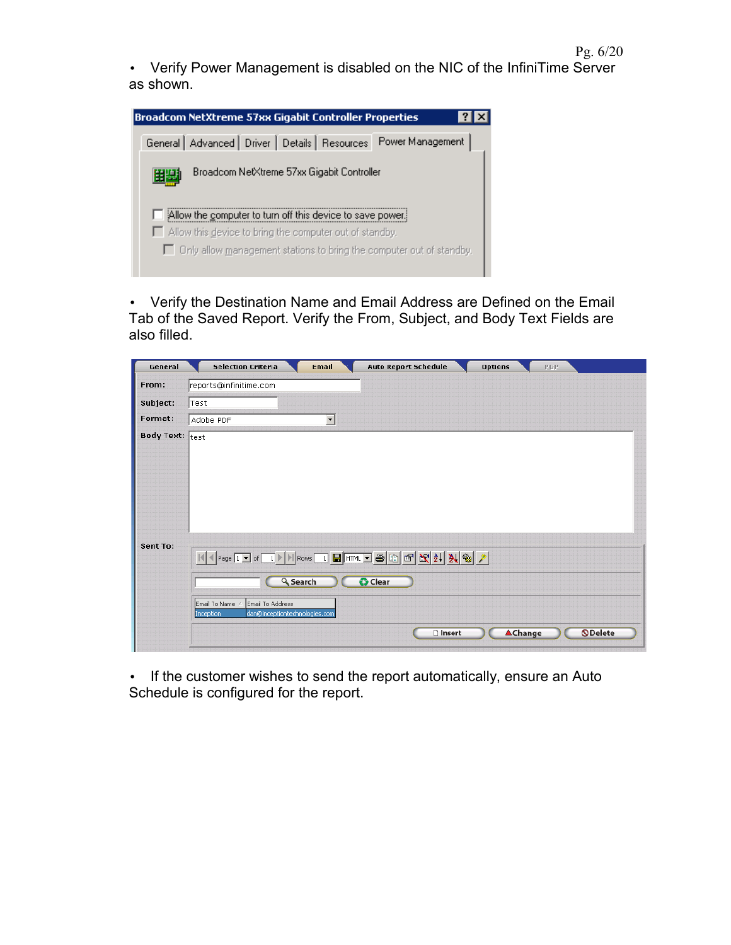Pg. 6/20

• Verify Power Management is disabled on the NIC of the InfiniTime Server as shown.



• Verify the Destination Name and Email Address are Defined on the Email Tab of the Saved Report. Verify the From, Subject, and Body Text Fields are also filled.

| reports@infinitime.com<br> Test<br>Adobe PDF<br>$\overline{\phantom{a}}$        | From:<br>Subject:<br>Format:<br><b>Body Text: test</b><br>Sent To:<br>$\boxed{ \mathbf{1} \mathbf{1}  \mathbf{1}  \mathbf{1} \mathbf{1} } \text{ of } \boxed{1} \times \boxed{ \mathbf{1} } \text{ Rows } \boxed{1} \text{ H} \text{ H} \text{I} \text{H} \text{I} \text{H} \text{I} \text{B} \text{I} \text{B} \text{I} \text{B} \text{I} \text{B} \text{I} \text{B} \text{I} \text{B} \text{I} \text{B} \text{I} \text{B} \text{I} \text{B} \text{I} \text{B} \text{I} \text{B} \text{I} \text{B} \text{I$<br><b><i><u>O</u></i></b> Clear<br><b>Q</b> Search | <b>Selection Criteria</b> | <b>Email</b> | <b>Auto Report Schedule</b> | <b>Options</b> | PGP |  |
|---------------------------------------------------------------------------------|-----------------------------------------------------------------------------------------------------------------------------------------------------------------------------------------------------------------------------------------------------------------------------------------------------------------------------------------------------------------------------------------------------------------------------------------------------------------------------------------------------------------------------------------------------------------|---------------------------|--------------|-----------------------------|----------------|-----|--|
|                                                                                 |                                                                                                                                                                                                                                                                                                                                                                                                                                                                                                                                                                 |                           |              |                             |                |     |  |
|                                                                                 |                                                                                                                                                                                                                                                                                                                                                                                                                                                                                                                                                                 |                           |              |                             |                |     |  |
|                                                                                 |                                                                                                                                                                                                                                                                                                                                                                                                                                                                                                                                                                 |                           |              |                             |                |     |  |
|                                                                                 |                                                                                                                                                                                                                                                                                                                                                                                                                                                                                                                                                                 |                           |              |                             |                |     |  |
| Email To Address<br>Email To Name<br>dan@inceptiontechnologies.com<br>Inception |                                                                                                                                                                                                                                                                                                                                                                                                                                                                                                                                                                 |                           |              |                             |                |     |  |

• If the customer wishes to send the report automatically, ensure an Auto Schedule is configured for the report.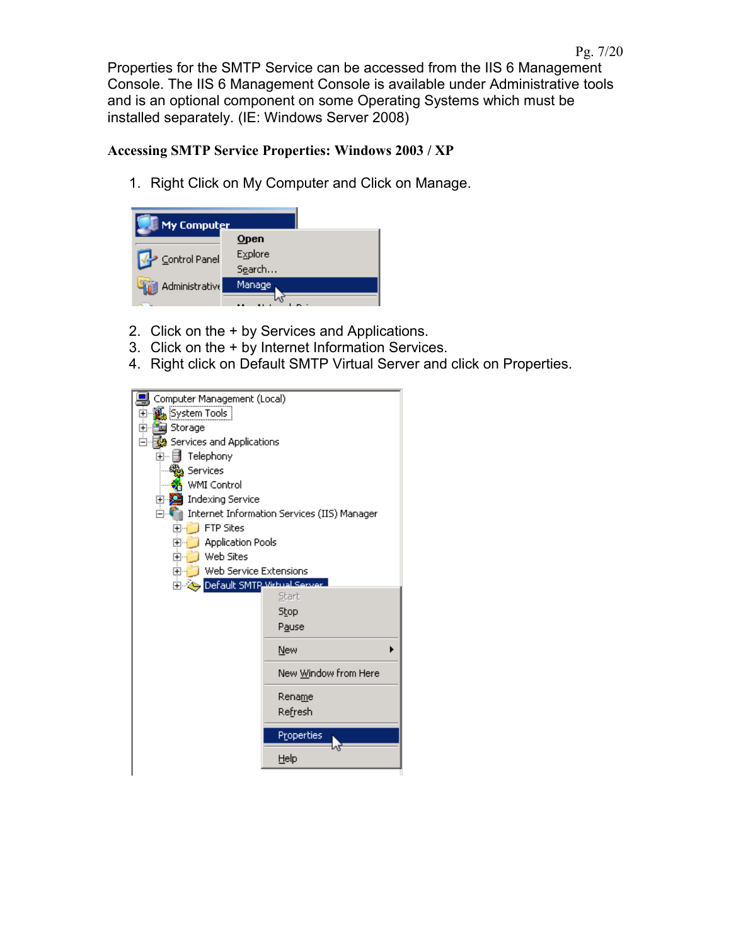Properties for the SMTP Service can be accessed from the IIS 6 Management Console. The IIS 6 Management Console is available under Administrative tools and is an optional component on some Operating Systems which must be installed separately. (IE: Windows Server 2008)

## <span id="page-6-0"></span>**Accessing SMTP Service Properties: Windows 2003 / XP**

1. Right Click on My Computer and Click on Manage.

| My Comput <u>er</u> |         |
|---------------------|---------|
|                     | $Q$ pen |
| Control Panel       | Explore |
|                     | Search  |
| Administrative      | Manage  |
|                     |         |

- 2. Click on the + by Services and Applications.
- 3. Click on the + by Internet Information Services.
- 4. Right click on Default SMTP Virtual Server and click on Properties.

| Computer Management (Local)                   |                                             |  |  |  |  |  |
|-----------------------------------------------|---------------------------------------------|--|--|--|--|--|
| ⊡ " <mark>狐</mark> System Tools               |                                             |  |  |  |  |  |
| 田 管 Storage                                   |                                             |  |  |  |  |  |
| Services and Applications                     |                                             |  |  |  |  |  |
| Telephony<br>Fl…                              |                                             |  |  |  |  |  |
| Services                                      |                                             |  |  |  |  |  |
| <b>WMI Control</b>                            |                                             |  |  |  |  |  |
| <b>Indexing Service</b><br>E X                |                                             |  |  |  |  |  |
|                                               | Internet Information Services (IIS) Manager |  |  |  |  |  |
| <b>FTP Sites</b><br>$\overline{+}$            |                                             |  |  |  |  |  |
| <b>Application Pools</b><br>ஈ                 |                                             |  |  |  |  |  |
|                                               | Web Sites<br>田                              |  |  |  |  |  |
| Web Service Extensions<br>$\overline{+}$      |                                             |  |  |  |  |  |
| <b>Elliangly Default SMTP With all Server</b> |                                             |  |  |  |  |  |
|                                               | Start                                       |  |  |  |  |  |
|                                               | Stop                                        |  |  |  |  |  |
|                                               |                                             |  |  |  |  |  |
|                                               | Pause                                       |  |  |  |  |  |
|                                               | New                                         |  |  |  |  |  |
|                                               | New Window from Here                        |  |  |  |  |  |
|                                               | Rename                                      |  |  |  |  |  |
|                                               | Re <u>f</u> resh                            |  |  |  |  |  |
|                                               |                                             |  |  |  |  |  |
|                                               | Properties                                  |  |  |  |  |  |
|                                               | Help                                        |  |  |  |  |  |
|                                               |                                             |  |  |  |  |  |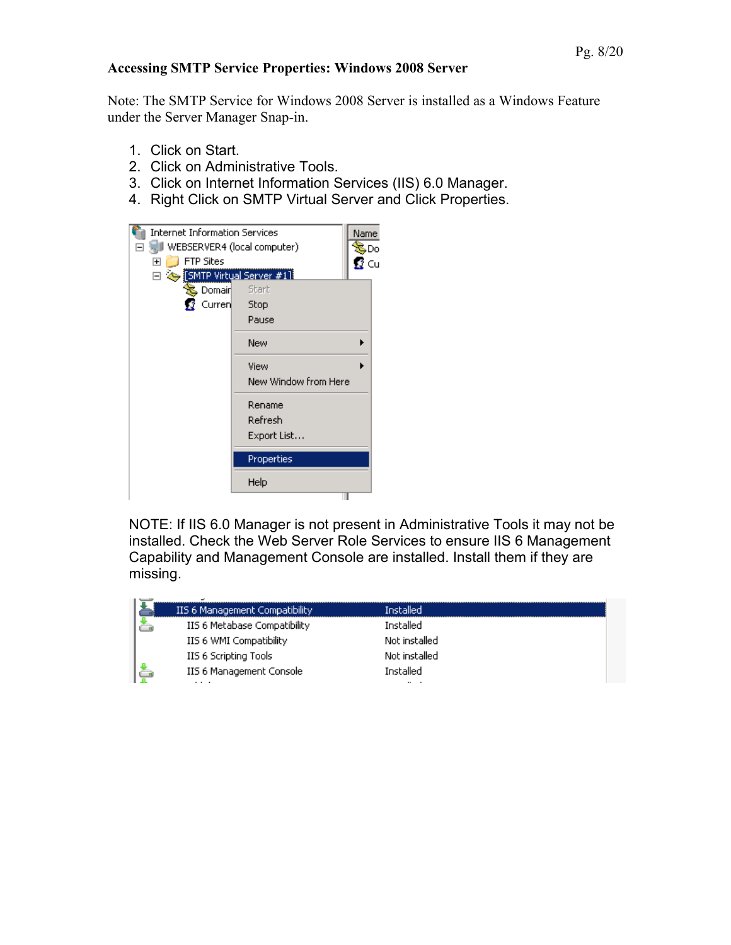#### <span id="page-7-0"></span>**Accessing SMTP Service Properties: Windows 2008 Server**

Note: The SMTP Service for Windows 2008 Server is installed as a Windows Feature under the Server Manager Snap-in.

- 1. Click on Start.
- 2. Click on Administrative Tools.
- 3. Click on Internet Information Services (IIS) 6.0 Manager.
- 4. Right Click on SMTP Virtual Server and Click Properties.



NOTE: If IIS 6.0 Manager is not present in Administrative Tools it may not be installed. Check the Web Server Role Services to ensure IIS 6 Management Capability and Management Console are installed. Install them if they are missing.

|  | IIS 6 Management Compatibility | Installed     |  |
|--|--------------------------------|---------------|--|
|  | IIS 6 Metabase Compatibility   | Installed     |  |
|  | IIS 6 WMI Compatibility        | Not installed |  |
|  | IIS 6 Scripting Tools          | Not installed |  |
|  | IIS 6 Management Console       | Installed     |  |
|  | .                              |               |  |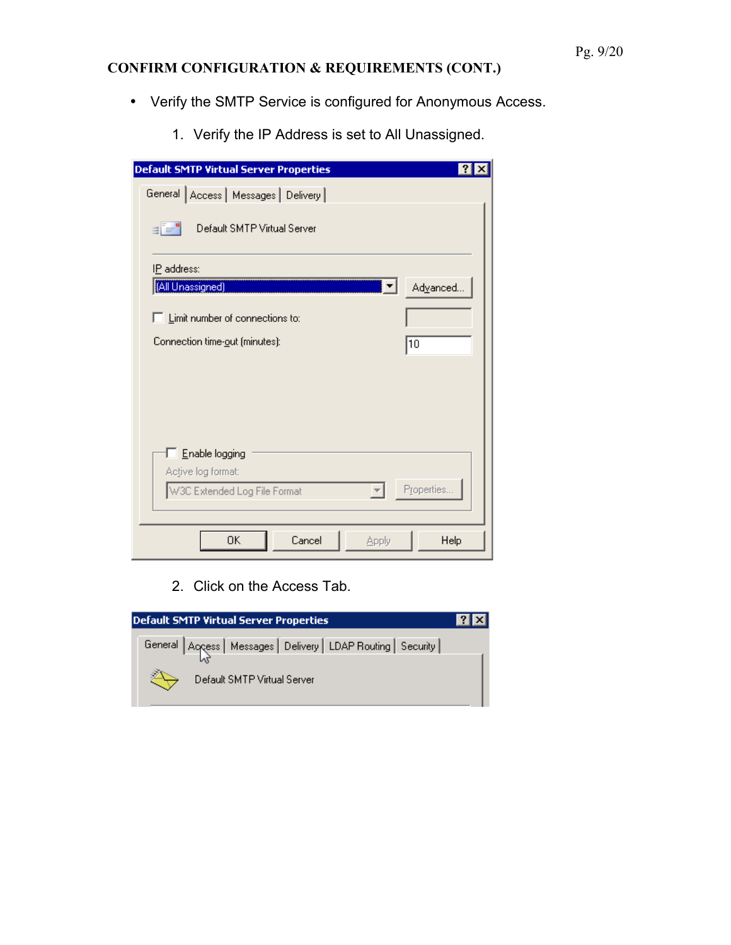## <span id="page-8-0"></span>**CONFIRM CONFIGURATION & REQUIREMENTS (CONT.)**

- Verify the SMTP Service is configured for Anonymous Access.
	- 1. Verify the IP Address is set to All Unassigned.

| <b>Default SMTP Virtual Server Properties</b>               |
|-------------------------------------------------------------|
| General Access   Messages   Delivery                        |
| $\equiv$ $\equiv$ $^{\circ}$<br>Default SMTP Virtual Server |
| IP address:                                                 |
| [All Unassigned]<br>Advanced                                |
| $\Box$ Limit number of connections to:                      |
| Connection time-out (minutes):<br>10                        |
|                                                             |
|                                                             |
|                                                             |
| Enable logging<br>Active log format:                        |
| Properties<br>W3C Extended Log File Format                  |
| OΚ<br>Cancel<br>Help<br>Apply                               |

2. Click on the Access Tab.

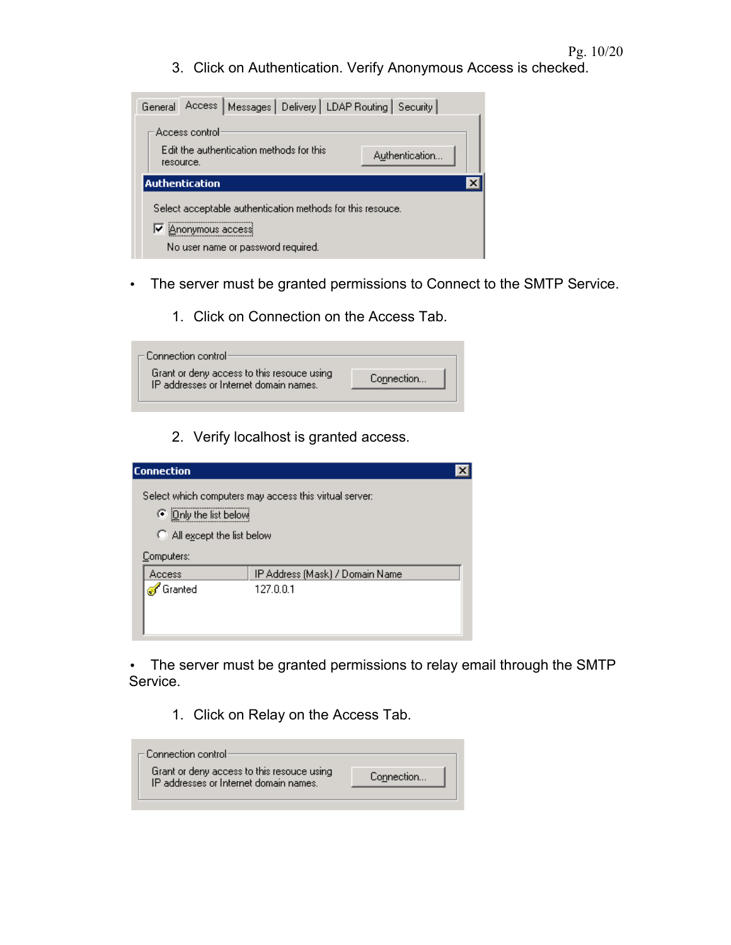3. Click on Authentication. Verify Anonymous Access is checked.

| General |                             |                                          |                                                            | Access   Messages   Delivery   LDAP Routing   Security |  |
|---------|-----------------------------|------------------------------------------|------------------------------------------------------------|--------------------------------------------------------|--|
|         | Access control<br>resource. | Edit the authentication methods for this |                                                            | Authentication                                         |  |
|         | <b>Authentication</b>       |                                          |                                                            |                                                        |  |
|         | jAnonymous accessi          | No user name or password required.       | Select acceptable authentication methods for this resouce. |                                                        |  |

- The server must be granted permissions to Connect to the SMTP Service.
	- 1. Click on Connection on the Access Tab.

| $\sqsubset$ Connection control:                                                      |            |
|--------------------------------------------------------------------------------------|------------|
| Grant or deny access to this resouce using<br>IP addresses or Internet domain names. | Connection |
|                                                                                      |            |

2. Verify localhost is granted access.

| <b>Connection</b>                                                            |                                                        |  |
|------------------------------------------------------------------------------|--------------------------------------------------------|--|
| ◯ iOnly the list below<br>$\bigcirc$ All except the list below<br>Computers: | Select which computers may access this virtual server: |  |
| Access                                                                       | IP Address (Mask) / Domain Name                        |  |
| Granted                                                                      | 127.0.0.1                                              |  |
|                                                                              |                                                        |  |

• The server must be granted permissions to relay email through the SMTP Service.

1. Click on Relay on the Access Tab.

| - Connection control·                                                                |            |
|--------------------------------------------------------------------------------------|------------|
| Grant or deny access to this resouce using<br>IP addresses or Internet domain names. | Connection |
|                                                                                      |            |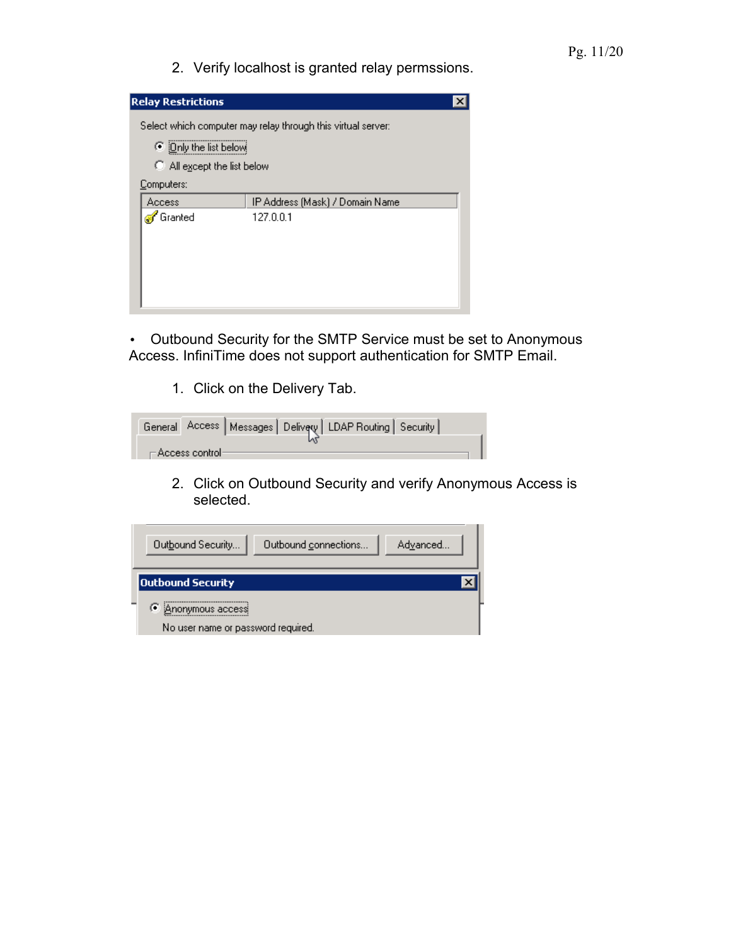2. Verify localhost is granted relay permssions.

| <b>Relay Restrictions</b>                                          |                                                              |  |
|--------------------------------------------------------------------|--------------------------------------------------------------|--|
| ⊙ iOnly the list below!<br>All except the list below<br>Computers: | Select which computer may relay through this virtual server: |  |
| Access<br><mark>⊕r</mark> Granted                                  | IP Address (Mask) / Domain Name<br>127.0.0.1                 |  |

• Outbound Security for the SMTP Service must be set to Anonymous Access. InfiniTime does not support authentication for SMTP Email.

1. Click on the Delivery Tab.

|  |                                    |  | General Access   Messages   Delivew   LDAP Routing   Security |  |
|--|------------------------------------|--|---------------------------------------------------------------|--|
|  |                                    |  |                                                               |  |
|  | $\sqsubset$ Access control $\cdot$ |  |                                                               |  |

2. Click on Outbound Security and verify Anonymous Access is selected.

| Outbound Security                                            | Outbound connections | Advanced |
|--------------------------------------------------------------|----------------------|----------|
| <b>Outbound Security</b>                                     |                      |          |
| G.<br>Anonymous access<br>No user name or password required. |                      |          |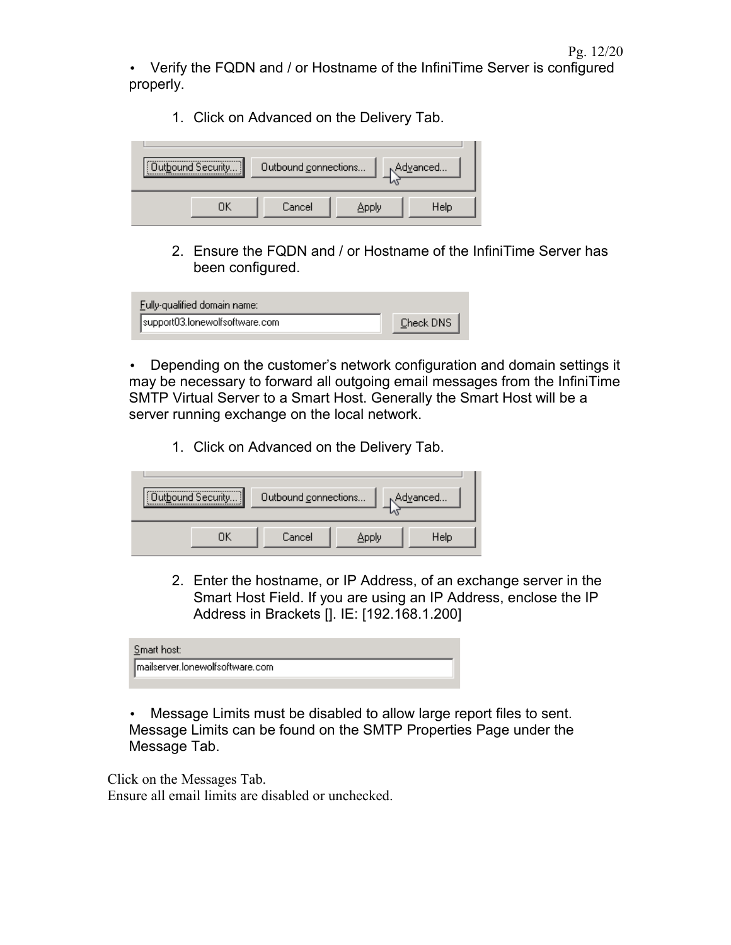• Verify the FQDN and / or Hostname of the InfiniTime Server is configured properly.

1. Click on Advanced on the Delivery Tab.

| Outbound Security | Outbound connections |       | , Advanced |
|-------------------|----------------------|-------|------------|
|                   | Cancel               | Apply | Help       |

2. Ensure the FQDN and / or Hostname of the InfiniTime Server has been configured.

| Fully-qualified domain name:   |           |
|--------------------------------|-----------|
| support03.lonewolfsoftware.com | Check DNS |

• Depending on the customer's network configuration and domain settings it may be necessary to forward all outgoing email messages from the InfiniTime SMTP Virtual Server to a Smart Host. Generally the Smart Host will be a server running exchange on the local network.

1. Click on Advanced on the Delivery Tab.

| Outbound Security | Outbound connections |       | Advanced |
|-------------------|----------------------|-------|----------|
|                   | Cancel               | Apply | Help     |

2. Enter the hostname, or IP Address, of an exchange server in the Smart Host Field. If you are using an IP Address, enclose the IP Address in Brackets []. IE: [192.168.1.200]

| Smart host:                     |
|---------------------------------|
| mailserver.lonewolfsoftware.com |
|                                 |

• Message Limits must be disabled to allow large report files to sent. Message Limits can be found on the SMTP Properties Page under the Message Tab.

<span id="page-11-1"></span><span id="page-11-0"></span>Click on the Messages Tab. Ensure all email limits are disabled or unchecked.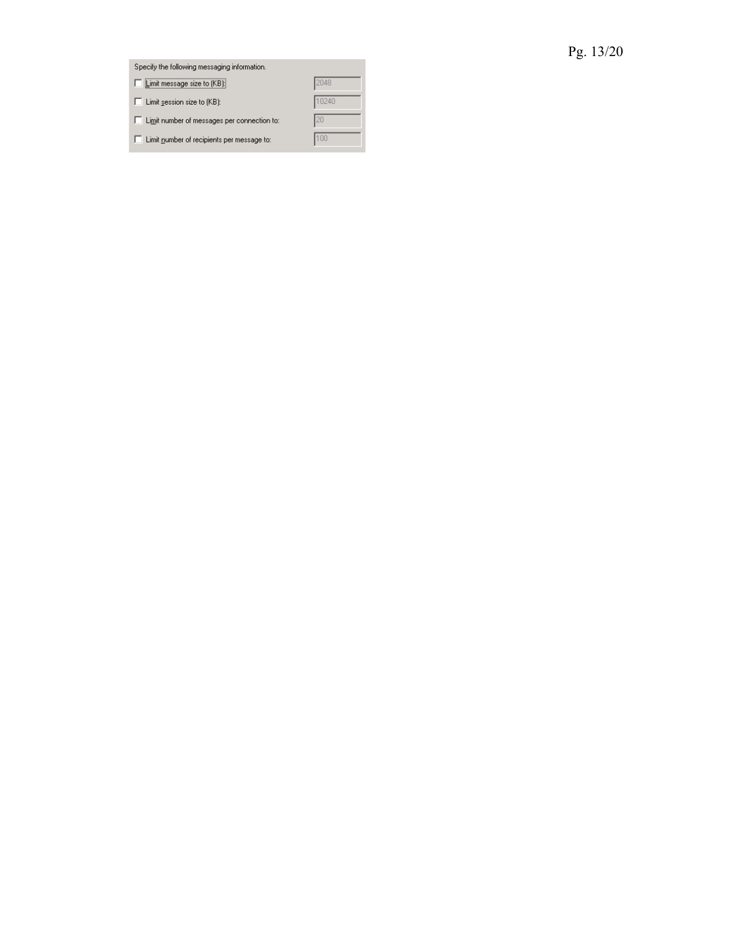# Pg. 13/20

<span id="page-12-0"></span>

| Specify the following messaging information.      |       |
|---------------------------------------------------|-------|
| Limit message size to [KB]                        | 2048  |
| $\Box$ Limit session size to $(KB)$ :             | 10240 |
| □ Limit number of messages per connection to:     | 20    |
| $\Box$ Limit number of recipients per message to: | 100   |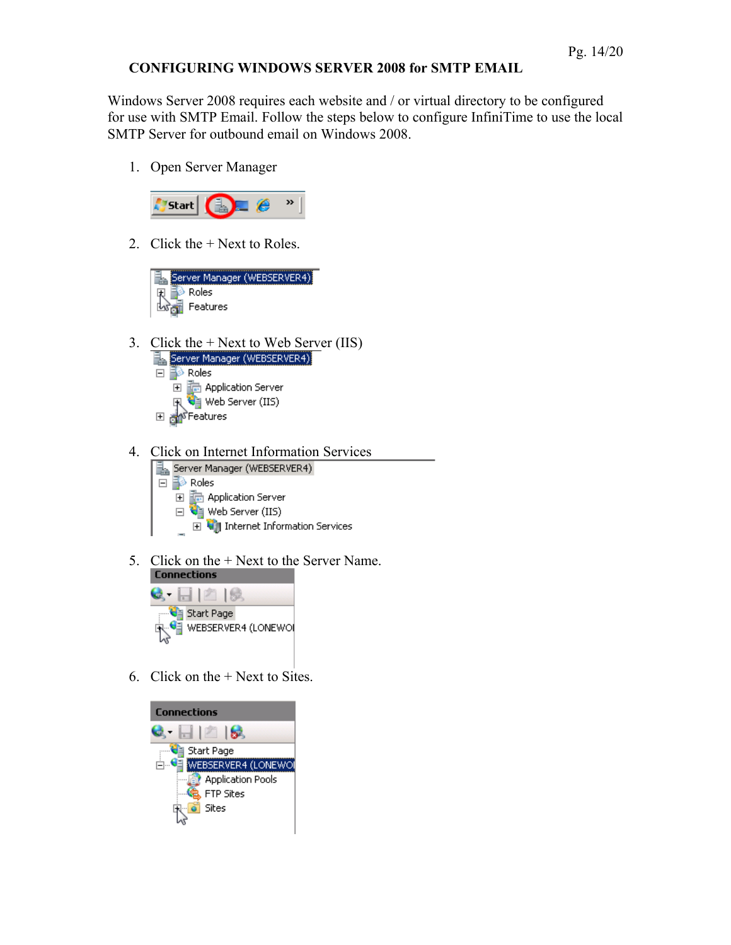#### <span id="page-13-0"></span>**CONFIGURING WINDOWS SERVER 2008 for SMTP EMAIL**

Windows Server 2008 requires each website and / or virtual directory to be configured for use with SMTP Email. Follow the steps below to configure InfiniTime to use the local SMTP Server for outbound email on Windows 2008.

1. Open Server Manager



2. Click the + Next to Roles.



- 3. Click the + Next to Web Server (IIS)
	- Server Manager (WEBSERVER4)  $\Box$  Roles **H h** Application Server Web Server (IIS) 田 an<sup>s</sup>Features
- 4. Click on Internet Information Services<br> $\boxed{\frac{3}{24}}$  Server Manager (WEBSERVER4)
	- $\Box$  Roles 田 **面 Application Server**  $\Box$  Web Server (IIS) **□ ● Internet Information Services**
- 5. Click on the + Next to the Server Name.



6. Click on the + Next to Sites.

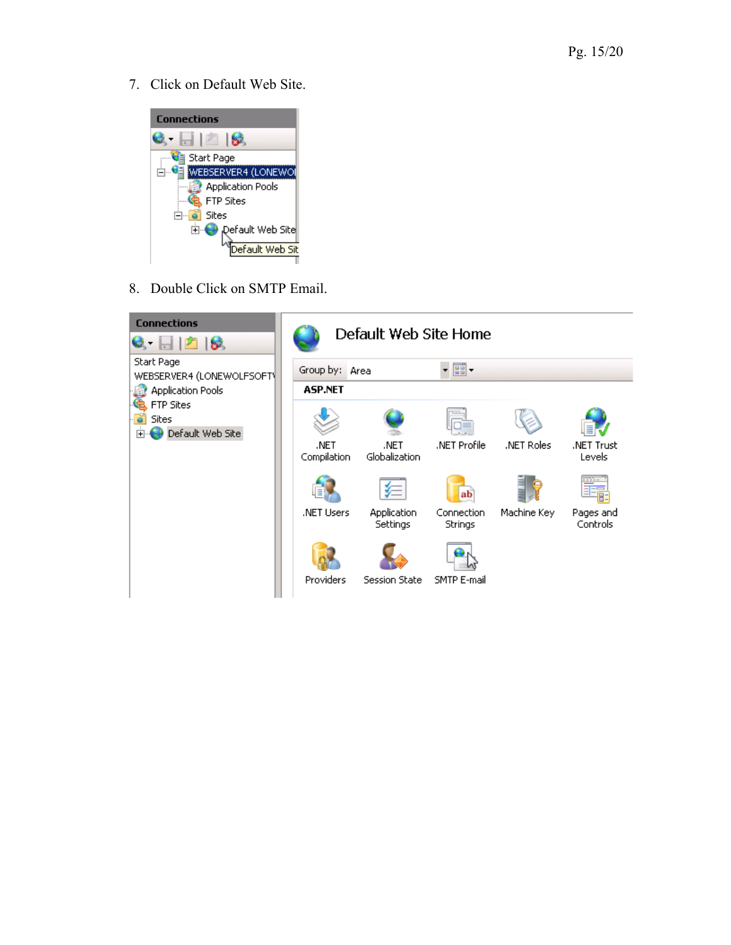7. Click on Default Web Site.



8. Double Click on SMTP Email.

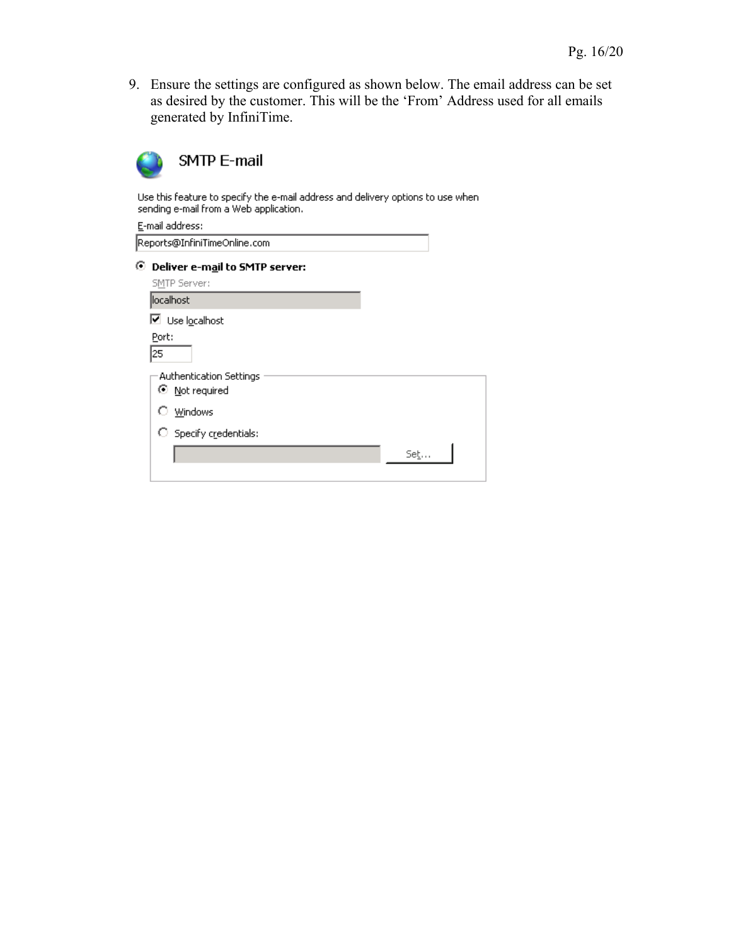9. Ensure the settings are configured as shown below. The email address can be set as desired by the customer. This will be the 'From' Address used for all emails generated by InfiniTime.



Use this feature to specify the e-mail address and delivery options to use when<br>sending e-mail from a Web application.

| Set |
|-----|
|     |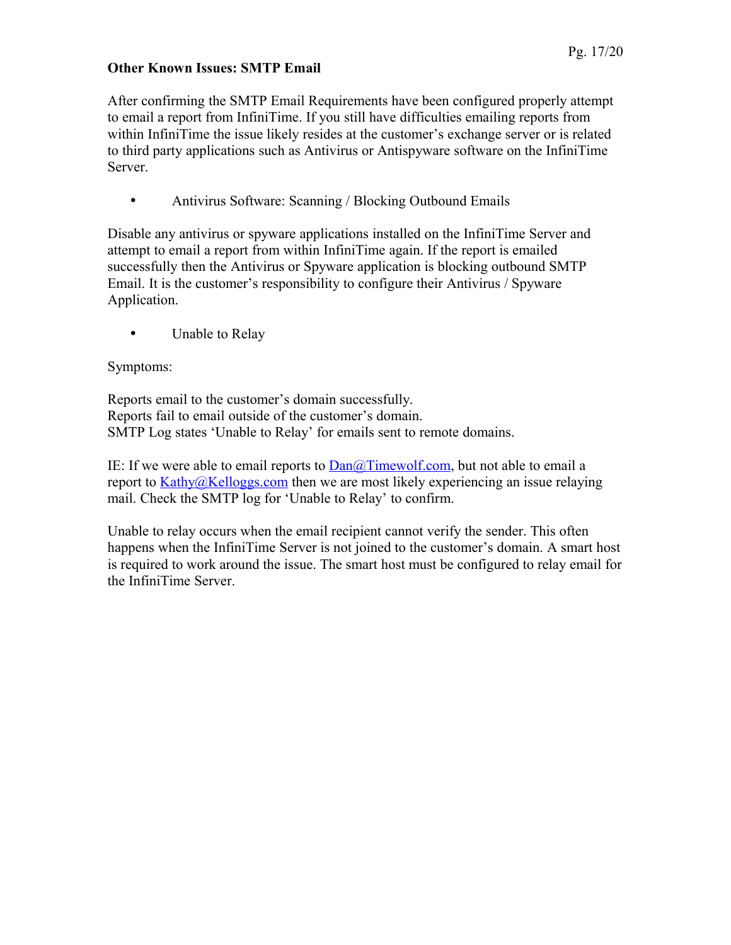#### <span id="page-16-0"></span>**Other Known Issues: SMTP Email**

After confirming the SMTP Email Requirements have been configured properly attempt to email a report from InfiniTime. If you still have difficulties emailing reports from within InfiniTime the issue likely resides at the customer's exchange server or is related to third party applications such as Antivirus or Antispyware software on the InfiniTime Server.

• Antivirus Software: Scanning / Blocking Outbound Emails

Disable any antivirus or spyware applications installed on the InfiniTime Server and attempt to email a report from within InfiniTime again. If the report is emailed successfully then the Antivirus or Spyware application is blocking outbound SMTP Email. It is the customer's responsibility to configure their Antivirus / Spyware Application.

• Unable to Relay

### Symptoms:

Reports email to the customer's domain successfully. Reports fail to email outside of the customer's domain. SMTP Log states 'Unable to Relay' for emails sent to remote domains.

IE: If we were able to email reports to  $Dan@Timewolf.com$ , but not able to email a report to [Kathy@Kelloggs.com](mailto:Kathy@Kelloggs.com) then we are most likely experiencing an issue relaying mail. Check the SMTP log for 'Unable to Relay' to confirm.

Unable to relay occurs when the email recipient cannot verify the sender. This often happens when the InfiniTime Server is not joined to the customer's domain. A smart host is required to work around the issue. The smart host must be configured to relay email for the InfiniTime Server.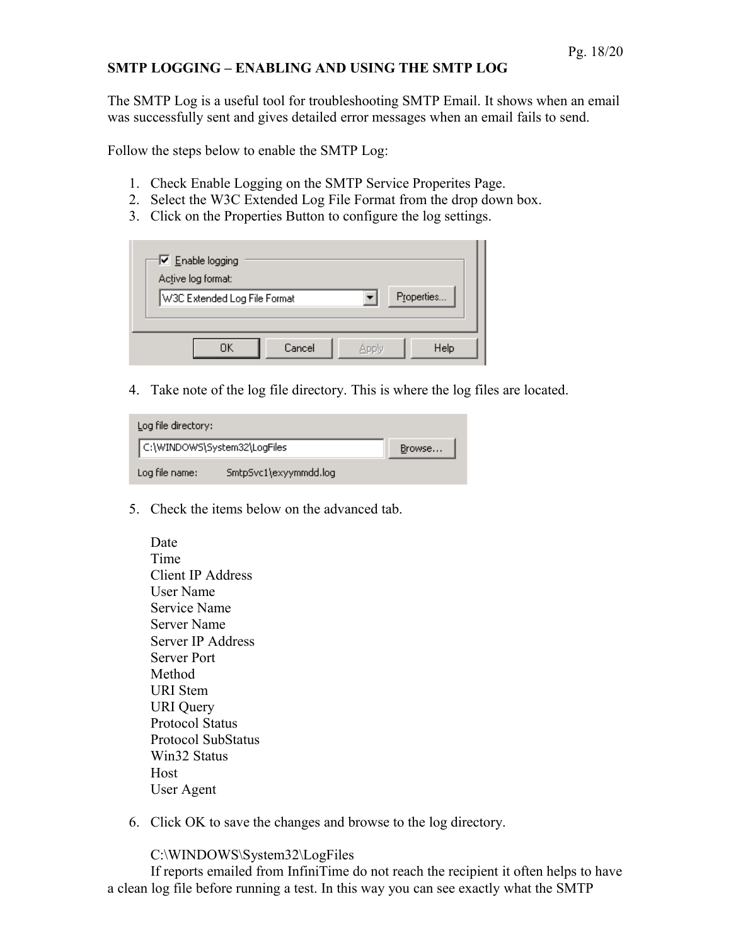#### <span id="page-17-0"></span>**SMTP LOGGING – ENABLING AND USING THE SMTP LOG**

The SMTP Log is a useful tool for troubleshooting SMTP Email. It shows when an email was successfully sent and gives detailed error messages when an email fails to send.

Follow the steps below to enable the SMTP Log:

- 1. Check Enable Logging on the SMTP Service Properites Page.
- 2. Select the W3C Extended Log File Format from the drop down box.
- 3. Click on the Properties Button to configure the log settings.

| $\nabla$ Enable logging<br>Active log format: |               |
|-----------------------------------------------|---------------|
| W3C Extended Log File Format                  | Properties    |
| Cancel<br>ΠK                                  | Help<br>Apply |

4. Take note of the log file directory. This is where the log files are located.

| Log file directory:          |                       |        |  |  |
|------------------------------|-----------------------|--------|--|--|
| C:\WINDOWS\System32\LogFiles |                       | Browse |  |  |
| Log file name:               | SmtpSvc1\exyymmdd.log |        |  |  |

5. Check the items below on the advanced tab.

| Date                      |
|---------------------------|
| Time                      |
| Client IP Address         |
| <b>User Name</b>          |
| <b>Service Name</b>       |
| Server Name               |
| <b>Server IP Address</b>  |
| <b>Server Port</b>        |
| Method                    |
| <b>URI</b> Stem           |
| <b>URI</b> Query          |
| <b>Protocol Status</b>    |
| <b>Protocol SubStatus</b> |
| Win32 Status              |
| Host                      |
| User Agent                |
|                           |

6. Click OK to save the changes and browse to the log directory.

C:\WINDOWS\System32\LogFiles

If reports emailed from InfiniTime do not reach the recipient it often helps to have a clean log file before running a test. In this way you can see exactly what the SMTP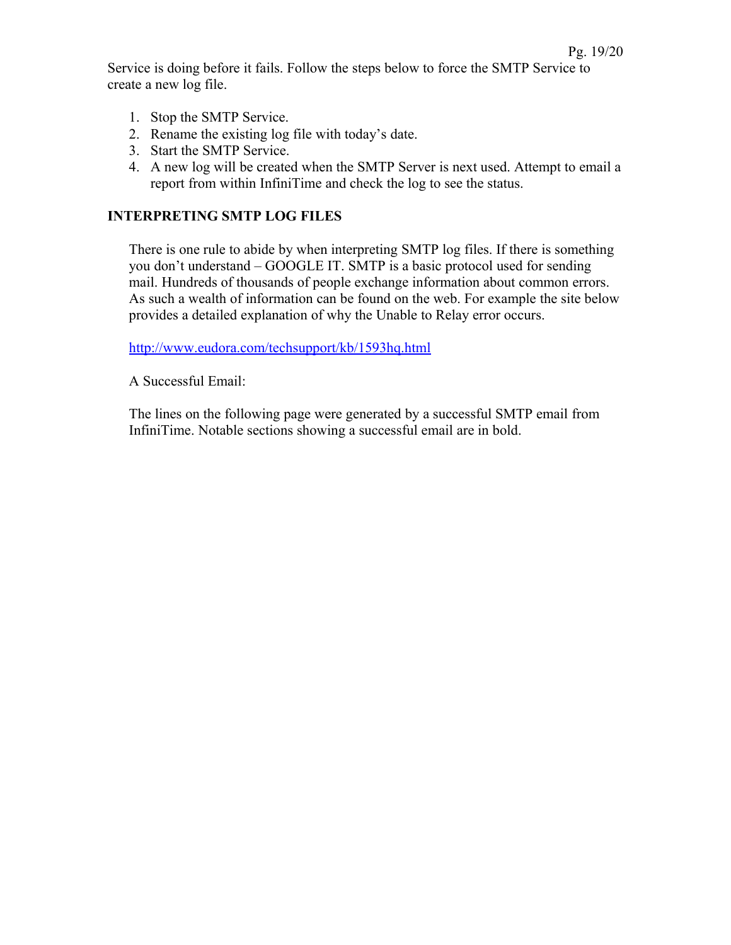Service is doing before it fails. Follow the steps below to force the SMTP Service to create a new log file.

- 1. Stop the SMTP Service.
- 2. Rename the existing log file with today's date.
- 3. Start the SMTP Service.
- 4. A new log will be created when the SMTP Server is next used. Attempt to email a report from within InfiniTime and check the log to see the status.

#### <span id="page-18-0"></span>**INTERPRETING SMTP LOG FILES**

There is one rule to abide by when interpreting SMTP log files. If there is something you don't understand – GOOGLE IT. SMTP is a basic protocol used for sending mail. Hundreds of thousands of people exchange information about common errors. As such a wealth of information can be found on the web. For example the site below provides a detailed explanation of why the Unable to Relay error occurs.

<http://www.eudora.com/techsupport/kb/1593hq.html>

A Successful Email:

The lines on the following page were generated by a successful SMTP email from InfiniTime. Notable sections showing a successful email are in bold.